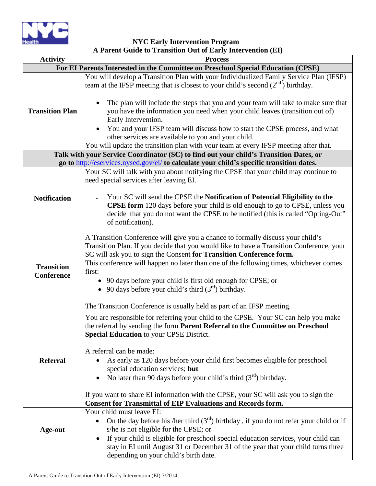

**NYC Early Intervention Program A Parent Guide to Transition Out of Early Intervention (EI)**

|                                                                                       | $\mathbf{u}$ and $\mathbf{u}$ and $\mathbf{u}$ is a model of $\mathbf{u}$ and $\mathbf{u}$ and $\mathbf{v}$ and $\mathbf{u}$                                                                                                                                                                                                                                                                                          |  |
|---------------------------------------------------------------------------------------|-----------------------------------------------------------------------------------------------------------------------------------------------------------------------------------------------------------------------------------------------------------------------------------------------------------------------------------------------------------------------------------------------------------------------|--|
| <b>Activity</b>                                                                       | <b>Process</b>                                                                                                                                                                                                                                                                                                                                                                                                        |  |
| For EI Parents Interested in the Committee on Preschool Special Education (CPSE)      |                                                                                                                                                                                                                                                                                                                                                                                                                       |  |
| <b>Transition Plan</b>                                                                | You will develop a Transition Plan with your Individualized Family Service Plan (IFSP)<br>team at the IFSP meeting that is closest to your child's second $(2nd)$ birthday.                                                                                                                                                                                                                                           |  |
|                                                                                       | The plan will include the steps that you and your team will take to make sure that<br>you have the information you need when your child leaves (transition out of)<br>Early Intervention.<br>You and your IFSP team will discuss how to start the CPSE process, and what<br>other services are available to you and your child.                                                                                       |  |
|                                                                                       | You will update the transition plan with your team at every IFSP meeting after that.                                                                                                                                                                                                                                                                                                                                  |  |
|                                                                                       |                                                                                                                                                                                                                                                                                                                                                                                                                       |  |
| Talk with your Service Coordinator (SC) to find out your child's Transition Dates, or |                                                                                                                                                                                                                                                                                                                                                                                                                       |  |
|                                                                                       | go to http://eservices.nysed.gov/ei/ to calculate your child's specific transition dates.                                                                                                                                                                                                                                                                                                                             |  |
| <b>Notification</b>                                                                   | Your SC will talk with you about notifying the CPSE that your child may continue to<br>need special services after leaving EI.                                                                                                                                                                                                                                                                                        |  |
|                                                                                       | Your SC will send the CPSE the Notification of Potential Eligibility to the<br><b>CPSE form</b> 120 days before your child is old enough to go to CPSE, unless you<br>decide that you do not want the CPSE to be notified (this is called "Opting-Out"<br>of notification).                                                                                                                                           |  |
| <b>Transition</b><br>Conference                                                       | A Transition Conference will give you a chance to formally discuss your child's<br>Transition Plan. If you decide that you would like to have a Transition Conference, your<br>SC will ask you to sign the Consent for Transition Conference form.<br>This conference will happen no later than one of the following times, whichever comes<br>first:<br>• 90 days before your child is first old enough for CPSE; or |  |
|                                                                                       | 90 days before your child's third $(3rd)$ birthday.<br>$\bullet$                                                                                                                                                                                                                                                                                                                                                      |  |
|                                                                                       |                                                                                                                                                                                                                                                                                                                                                                                                                       |  |
|                                                                                       | The Transition Conference is usually held as part of an IFSP meeting.                                                                                                                                                                                                                                                                                                                                                 |  |
| <b>Referral</b>                                                                       | You are responsible for referring your child to the CPSE. Your SC can help you make<br>the referral by sending the form Parent Referral to the Committee on Preschool<br><b>Special Education to your CPSE District.</b>                                                                                                                                                                                              |  |
|                                                                                       | A referral can be made:<br>As early as 120 days before your child first becomes eligible for preschool<br>special education services; but<br>No later than 90 days before your child's third $(3rd)$ birthday.                                                                                                                                                                                                        |  |
|                                                                                       | If you want to share EI information with the CPSE, your SC will ask you to sign the<br><b>Consent for Transmittal of EIP Evaluations and Records form.</b>                                                                                                                                                                                                                                                            |  |
| Age-out                                                                               | Your child must leave EI:<br>On the day before his /her third $(3rd)$ birthday, if you do not refer your child or if<br>s/he is not eligible for the CPSE; or<br>If your child is eligible for preschool special education services, your child can                                                                                                                                                                   |  |
|                                                                                       | stay in EI until August 31 or December 31 of the year that your child turns three<br>depending on your child's birth date.                                                                                                                                                                                                                                                                                            |  |